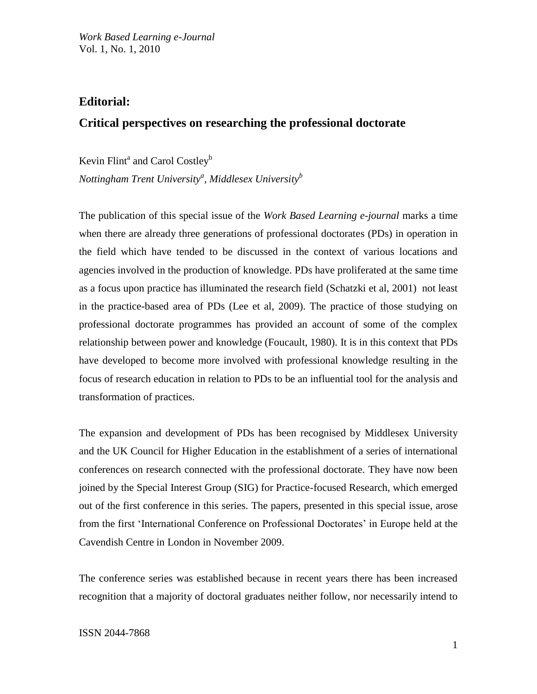# **Editorial:**

# **Critical perspectives on researching the professional doctorate**

Kevin Flint<sup>a</sup> and Carol Costley<sup>b</sup>

*Nottingham Trent University<sup>a</sup> , Middlesex University<sup>b</sup>*

The publication of this special issue of the *Work Based Learning e-journal* marks a time when there are already three generations of professional doctorates (PDs) in operation in the field which have tended to be discussed in the context of various locations and agencies involved in the production of knowledge. PDs have proliferated at the same time as a focus upon practice has illuminated the research field (Schatzki et al, 2001) not least in the practice-based area of PDs (Lee et al, 2009). The practice of those studying on professional doctorate programmes has provided an account of some of the complex relationship between power and knowledge (Foucault, 1980). It is in this context that PDs have developed to become more involved with professional knowledge resulting in the focus of research education in relation to PDs to be an influential tool for the analysis and transformation of practices.

The expansion and development of PDs has been recognised by Middlesex University and the UK Council for Higher Education in the establishment of a series of international conferences on research connected with the professional doctorate. They have now been joined by the Special Interest Group (SIG) for Practice-focused Research, which emerged out of the first conference in this series. The papers, presented in this special issue, arose from the first 'International Conference on Professional Doctorates' in Europe held at the Cavendish Centre in London in November 2009.

The conference series was established because in recent years there has been increased recognition that a majority of doctoral graduates neither follow, nor necessarily intend to

# ISSN 2044-7868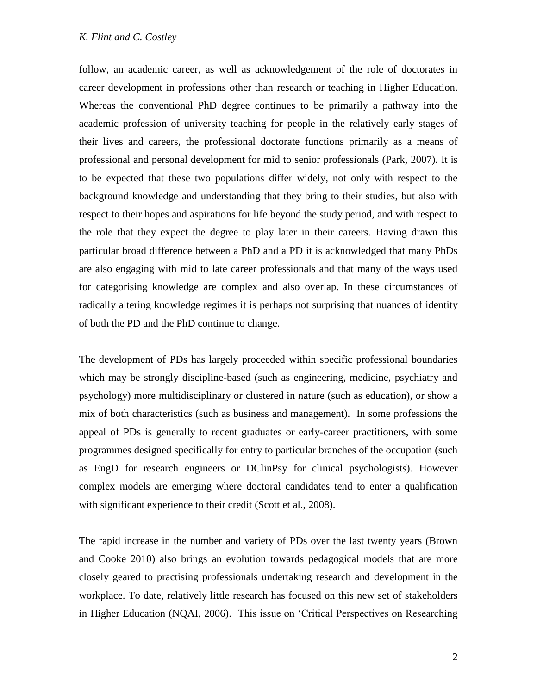# *K. Flint and C. Costley*

follow, an academic career, as well as acknowledgement of the role of doctorates in career development in professions other than research or teaching in Higher Education. Whereas the conventional PhD degree continues to be primarily a pathway into the academic profession of university teaching for people in the relatively early stages of their lives and careers, the professional doctorate functions primarily as a means of professional and personal development for mid to senior professionals (Park, 2007). It is to be expected that these two populations differ widely, not only with respect to the background knowledge and understanding that they bring to their studies, but also with respect to their hopes and aspirations for life beyond the study period, and with respect to the role that they expect the degree to play later in their careers. Having drawn this particular broad difference between a PhD and a PD it is acknowledged that many PhDs are also engaging with mid to late career professionals and that many of the ways used for categorising knowledge are complex and also overlap. In these circumstances of radically altering knowledge regimes it is perhaps not surprising that nuances of identity of both the PD and the PhD continue to change.

The development of PDs has largely proceeded within specific professional boundaries which may be strongly discipline-based (such as engineering, medicine, psychiatry and psychology) more multidisciplinary or clustered in nature (such as education), or show a mix of both characteristics (such as business and management). In some professions the appeal of PDs is generally to recent graduates or early-career practitioners, with some programmes designed specifically for entry to particular branches of the occupation (such as EngD for research engineers or DClinPsy for clinical psychologists). However complex models are emerging where doctoral candidates tend to enter a qualification with significant experience to their credit (Scott et al., 2008).

The rapid increase in the number and variety of PDs over the last twenty years (Brown and Cooke 2010) also brings an evolution towards pedagogical models that are more closely geared to practising professionals undertaking research and development in the workplace. To date, relatively little research has focused on this new set of stakeholders in Higher Education (NQAI, 2006). This issue on 'Critical Perspectives on Researching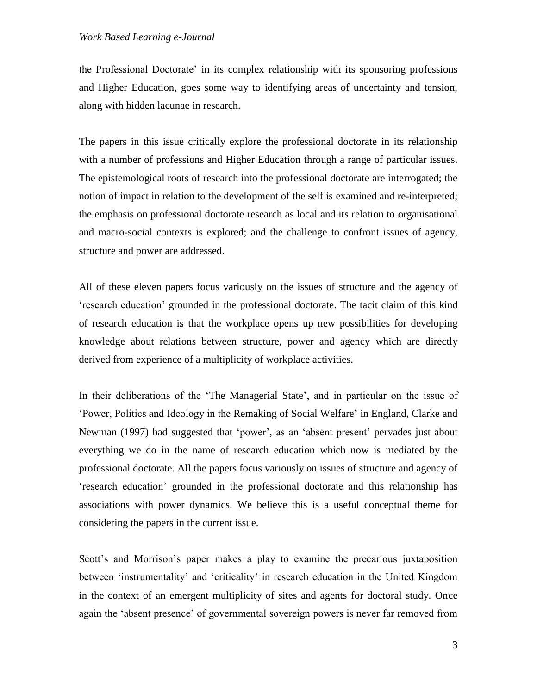#### *Work Based Learning e-Journal*

the Professional Doctorate' in its complex relationship with its sponsoring professions and Higher Education, goes some way to identifying areas of uncertainty and tension, along with hidden lacunae in research.

The papers in this issue critically explore the professional doctorate in its relationship with a number of professions and Higher Education through a range of particular issues. The epistemological roots of research into the professional doctorate are interrogated; the notion of impact in relation to the development of the self is examined and re-interpreted; the emphasis on professional doctorate research as local and its relation to organisational and macro-social contexts is explored; and the challenge to confront issues of agency, structure and power are addressed.

All of these eleven papers focus variously on the issues of structure and the agency of 'research education' grounded in the professional doctorate. The tacit claim of this kind of research education is that the workplace opens up new possibilities for developing knowledge about relations between structure, power and agency which are directly derived from experience of a multiplicity of workplace activities.

In their deliberations of the 'The Managerial State', and in particular on the issue of 'Power, Politics and Ideology in the Remaking of Social Welfare**'** in England, Clarke and Newman (1997) had suggested that 'power', as an 'absent present' pervades just about everything we do in the name of research education which now is mediated by the professional doctorate. All the papers focus variously on issues of structure and agency of 'research education' grounded in the professional doctorate and this relationship has associations with power dynamics. We believe this is a useful conceptual theme for considering the papers in the current issue.

Scott's and Morrison's paper makes a play to examine the precarious juxtaposition between 'instrumentality' and 'criticality' in research education in the United Kingdom in the context of an emergent multiplicity of sites and agents for doctoral study. Once again the 'absent presence' of governmental sovereign powers is never far removed from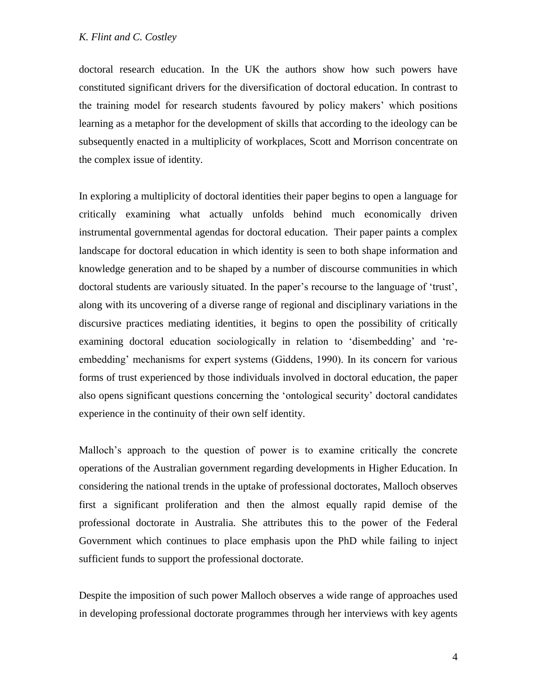doctoral research education. In the UK the authors show how such powers have constituted significant drivers for the diversification of doctoral education. In contrast to the training model for research students favoured by policy makers' which positions learning as a metaphor for the development of skills that according to the ideology can be subsequently enacted in a multiplicity of workplaces, Scott and Morrison concentrate on the complex issue of identity.

In exploring a multiplicity of doctoral identities their paper begins to open a language for critically examining what actually unfolds behind much economically driven instrumental governmental agendas for doctoral education. Their paper paints a complex landscape for doctoral education in which identity is seen to both shape information and knowledge generation and to be shaped by a number of discourse communities in which doctoral students are variously situated. In the paper's recourse to the language of 'trust', along with its uncovering of a diverse range of regional and disciplinary variations in the discursive practices mediating identities, it begins to open the possibility of critically examining doctoral education sociologically in relation to 'disembedding' and 'reembedding' mechanisms for expert systems (Giddens, 1990). In its concern for various forms of trust experienced by those individuals involved in doctoral education, the paper also opens significant questions concerning the 'ontological security' doctoral candidates experience in the continuity of their own self identity.

Malloch's approach to the question of power is to examine critically the concrete operations of the Australian government regarding developments in Higher Education. In considering the national trends in the uptake of professional doctorates, Malloch observes first a significant proliferation and then the almost equally rapid demise of the professional doctorate in Australia. She attributes this to the power of the Federal Government which continues to place emphasis upon the PhD while failing to inject sufficient funds to support the professional doctorate.

Despite the imposition of such power Malloch observes a wide range of approaches used in developing professional doctorate programmes through her interviews with key agents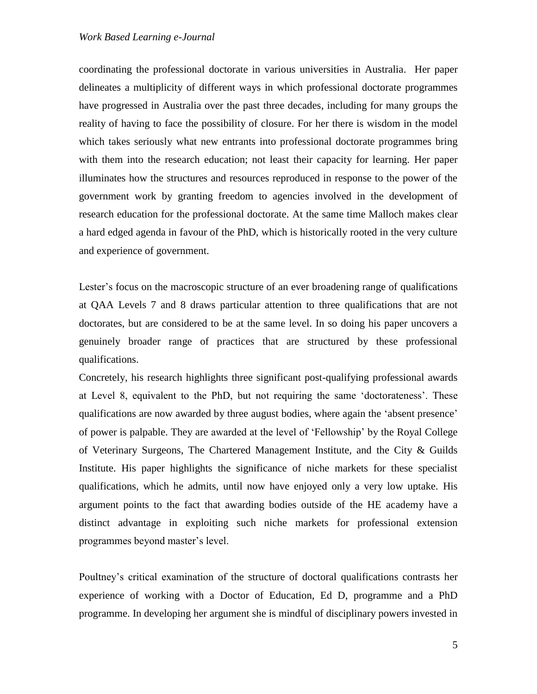### *Work Based Learning e-Journal*

coordinating the professional doctorate in various universities in Australia. Her paper delineates a multiplicity of different ways in which professional doctorate programmes have progressed in Australia over the past three decades, including for many groups the reality of having to face the possibility of closure. For her there is wisdom in the model which takes seriously what new entrants into professional doctorate programmes bring with them into the research education; not least their capacity for learning. Her paper illuminates how the structures and resources reproduced in response to the power of the government work by granting freedom to agencies involved in the development of research education for the professional doctorate. At the same time Malloch makes clear a hard edged agenda in favour of the PhD, which is historically rooted in the very culture and experience of government.

Lester's focus on the macroscopic structure of an ever broadening range of qualifications at QAA Levels 7 and 8 draws particular attention to three qualifications that are not doctorates, but are considered to be at the same level. In so doing his paper uncovers a genuinely broader range of practices that are structured by these professional qualifications.

Concretely, his research highlights three significant post-qualifying professional awards at Level 8, equivalent to the PhD, but not requiring the same 'doctorateness'. These qualifications are now awarded by three august bodies, where again the 'absent presence' of power is palpable. They are awarded at the level of 'Fellowship' by the Royal College of Veterinary Surgeons, The Chartered Management Institute, and the City & Guilds Institute. His paper highlights the significance of niche markets for these specialist qualifications, which he admits, until now have enjoyed only a very low uptake. His argument points to the fact that awarding bodies outside of the HE academy have a distinct advantage in exploiting such niche markets for professional extension programmes beyond master's level.

Poultney's critical examination of the structure of doctoral qualifications contrasts her experience of working with a Doctor of Education, Ed D, programme and a PhD programme. In developing her argument she is mindful of disciplinary powers invested in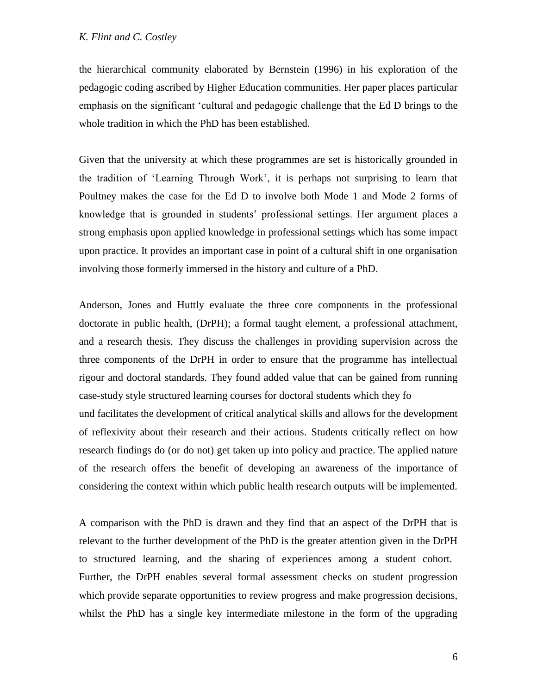the hierarchical community elaborated by Bernstein (1996) in his exploration of the pedagogic coding ascribed by Higher Education communities. Her paper places particular emphasis on the significant 'cultural and pedagogic challenge that the Ed D brings to the whole tradition in which the PhD has been established.

Given that the university at which these programmes are set is historically grounded in the tradition of 'Learning Through Work', it is perhaps not surprising to learn that Poultney makes the case for the Ed D to involve both Mode 1 and Mode 2 forms of knowledge that is grounded in students' professional settings. Her argument places a strong emphasis upon applied knowledge in professional settings which has some impact upon practice. It provides an important case in point of a cultural shift in one organisation involving those formerly immersed in the history and culture of a PhD.

Anderson, Jones and Huttly evaluate the three core components in the professional doctorate in public health, (DrPH); a formal taught element, a professional attachment, and a research thesis. They discuss the challenges in providing supervision across the three components of the DrPH in order to ensure that the programme has intellectual rigour and doctoral standards. They found added value that can be gained from running case-study style structured learning courses for doctoral students which they fo und facilitates the development of critical analytical skills and allows for the development of reflexivity about their research and their actions. Students critically reflect on how research findings do (or do not) get taken up into policy and practice. The applied nature of the research offers the benefit of developing an awareness of the importance of considering the context within which public health research outputs will be implemented.

A comparison with the PhD is drawn and they find that an aspect of the DrPH that is relevant to the further development of the PhD is the greater attention given in the DrPH to structured learning, and the sharing of experiences among a student cohort. Further, the DrPH enables several formal assessment checks on student progression which provide separate opportunities to review progress and make progression decisions, whilst the PhD has a single key intermediate milestone in the form of the upgrading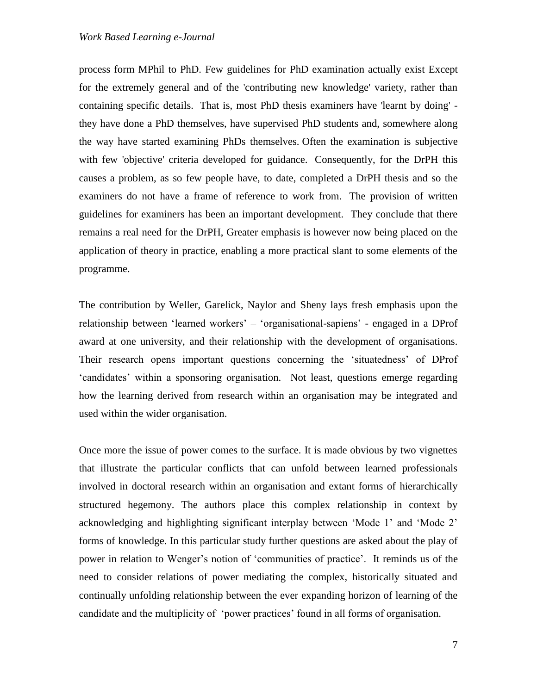process form MPhil to PhD. Few guidelines for PhD examination actually exist Except for the extremely general and of the 'contributing new knowledge' variety, rather than containing specific details. That is, most PhD thesis examiners have 'learnt by doing' they have done a PhD themselves, have supervised PhD students and, somewhere along the way have started examining PhDs themselves. Often the examination is subjective with few 'objective' criteria developed for guidance. Consequently, for the DrPH this causes a problem, as so few people have, to date, completed a DrPH thesis and so the examiners do not have a frame of reference to work from. The provision of written guidelines for examiners has been an important development. They conclude that there remains a real need for the DrPH, Greater emphasis is however now being placed on the application of theory in practice, enabling a more practical slant to some elements of the programme.

The contribution by Weller, Garelick, Naylor and Sheny lays fresh emphasis upon the relationship between 'learned workers' – 'organisational-sapiens' - engaged in a DProf award at one university, and their relationship with the development of organisations. Their research opens important questions concerning the 'situatedness' of DProf 'candidates' within a sponsoring organisation. Not least, questions emerge regarding how the learning derived from research within an organisation may be integrated and used within the wider organisation.

Once more the issue of power comes to the surface. It is made obvious by two vignettes that illustrate the particular conflicts that can unfold between learned professionals involved in doctoral research within an organisation and extant forms of hierarchically structured hegemony. The authors place this complex relationship in context by acknowledging and highlighting significant interplay between 'Mode 1' and 'Mode 2' forms of knowledge. In this particular study further questions are asked about the play of power in relation to Wenger's notion of 'communities of practice'. It reminds us of the need to consider relations of power mediating the complex, historically situated and continually unfolding relationship between the ever expanding horizon of learning of the candidate and the multiplicity of 'power practices' found in all forms of organisation.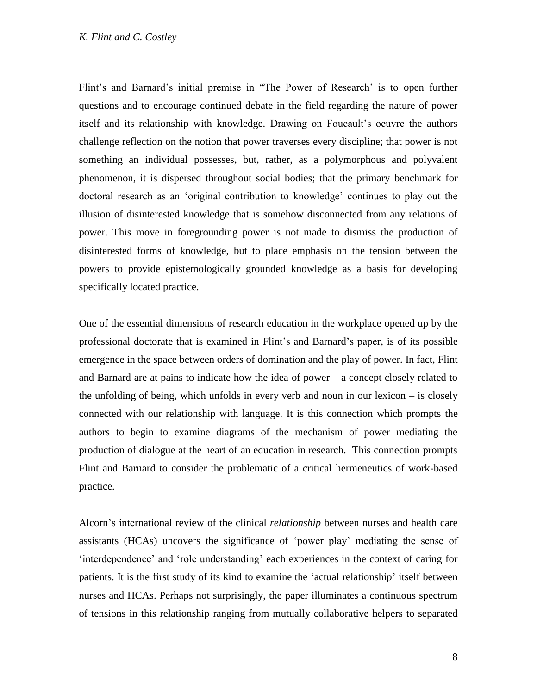### *K. Flint and C. Costley*

Flint's and Barnard's initial premise in "The Power of Research' is to open further questions and to encourage continued debate in the field regarding the nature of power itself and its relationship with knowledge. Drawing on Foucault's oeuvre the authors challenge reflection on the notion that power traverses every discipline; that power is not something an individual possesses, but, rather, as a polymorphous and polyvalent phenomenon, it is dispersed throughout social bodies; that the primary benchmark for doctoral research as an 'original contribution to knowledge' continues to play out the illusion of disinterested knowledge that is somehow disconnected from any relations of power. This move in foregrounding power is not made to dismiss the production of disinterested forms of knowledge, but to place emphasis on the tension between the powers to provide epistemologically grounded knowledge as a basis for developing specifically located practice.

One of the essential dimensions of research education in the workplace opened up by the professional doctorate that is examined in Flint's and Barnard's paper, is of its possible emergence in the space between orders of domination and the play of power. In fact, Flint and Barnard are at pains to indicate how the idea of power – a concept closely related to the unfolding of being, which unfolds in every verb and noun in our lexicon – is closely connected with our relationship with language. It is this connection which prompts the authors to begin to examine diagrams of the mechanism of power mediating the production of dialogue at the heart of an education in research. This connection prompts Flint and Barnard to consider the problematic of a critical hermeneutics of work-based practice.

Alcorn's international review of the clinical *relationship* between nurses and health care assistants (HCAs) uncovers the significance of 'power play' mediating the sense of 'interdependence' and 'role understanding' each experiences in the context of caring for patients. It is the first study of its kind to examine the 'actual relationship' itself between nurses and HCAs. Perhaps not surprisingly, the paper illuminates a continuous spectrum of tensions in this relationship ranging from mutually collaborative helpers to separated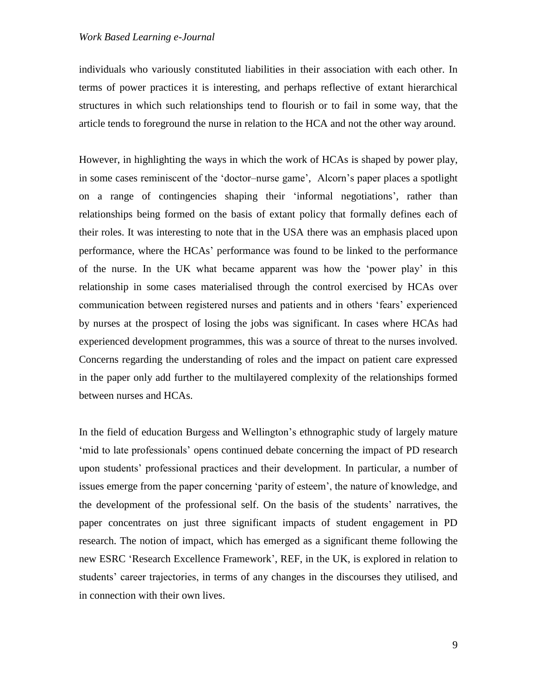individuals who variously constituted liabilities in their association with each other. In terms of power practices it is interesting, and perhaps reflective of extant hierarchical structures in which such relationships tend to flourish or to fail in some way, that the article tends to foreground the nurse in relation to the HCA and not the other way around.

However, in highlighting the ways in which the work of HCAs is shaped by power play, in some cases reminiscent of the 'doctor–nurse game', Alcorn's paper places a spotlight on a range of contingencies shaping their 'informal negotiations', rather than relationships being formed on the basis of extant policy that formally defines each of their roles. It was interesting to note that in the USA there was an emphasis placed upon performance, where the HCAs' performance was found to be linked to the performance of the nurse. In the UK what became apparent was how the 'power play' in this relationship in some cases materialised through the control exercised by HCAs over communication between registered nurses and patients and in others 'fears' experienced by nurses at the prospect of losing the jobs was significant. In cases where HCAs had experienced development programmes, this was a source of threat to the nurses involved. Concerns regarding the understanding of roles and the impact on patient care expressed in the paper only add further to the multilayered complexity of the relationships formed between nurses and HCAs.

In the field of education Burgess and Wellington's ethnographic study of largely mature 'mid to late professionals' opens continued debate concerning the impact of PD research upon students' professional practices and their development. In particular, a number of issues emerge from the paper concerning 'parity of esteem', the nature of knowledge, and the development of the professional self. On the basis of the students' narratives, the paper concentrates on just three significant impacts of student engagement in PD research. The notion of impact, which has emerged as a significant theme following the new ESRC 'Research Excellence Framework', REF, in the UK, is explored in relation to students' career trajectories, in terms of any changes in the discourses they utilised, and in connection with their own lives.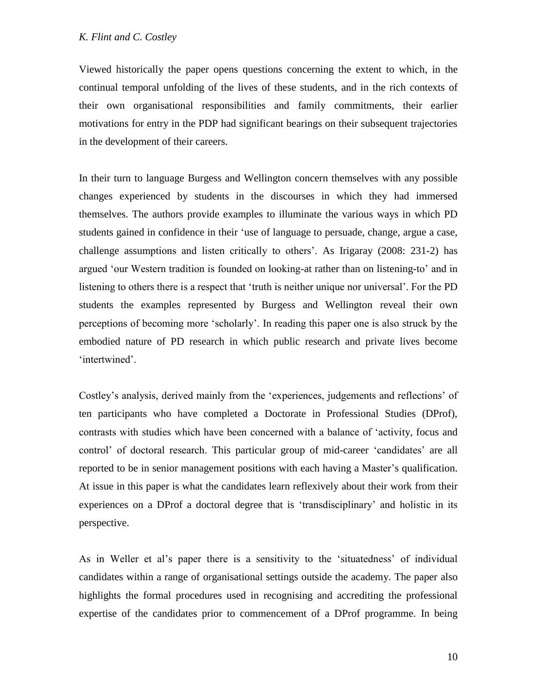Viewed historically the paper opens questions concerning the extent to which, in the continual temporal unfolding of the lives of these students, and in the rich contexts of their own organisational responsibilities and family commitments, their earlier motivations for entry in the PDP had significant bearings on their subsequent trajectories in the development of their careers.

In their turn to language Burgess and Wellington concern themselves with any possible changes experienced by students in the discourses in which they had immersed themselves. The authors provide examples to illuminate the various ways in which PD students gained in confidence in their 'use of language to persuade, change, argue a case, challenge assumptions and listen critically to others'. As Irigaray (2008: 231-2) has argued 'our Western tradition is founded on looking-at rather than on listening-to' and in listening to others there is a respect that 'truth is neither unique nor universal'. For the PD students the examples represented by Burgess and Wellington reveal their own perceptions of becoming more 'scholarly'. In reading this paper one is also struck by the embodied nature of PD research in which public research and private lives become 'intertwined'.

Costley's analysis, derived mainly from the 'experiences, judgements and reflections' of ten participants who have completed a Doctorate in Professional Studies (DProf), contrasts with studies which have been concerned with a balance of 'activity, focus and control' of doctoral research. This particular group of mid-career 'candidates' are all reported to be in senior management positions with each having a Master's qualification. At issue in this paper is what the candidates learn reflexively about their work from their experiences on a DProf a doctoral degree that is 'transdisciplinary' and holistic in its perspective.

As in Weller et al's paper there is a sensitivity to the 'situatedness' of individual candidates within a range of organisational settings outside the academy. The paper also highlights the formal procedures used in recognising and accrediting the professional expertise of the candidates prior to commencement of a DProf programme. In being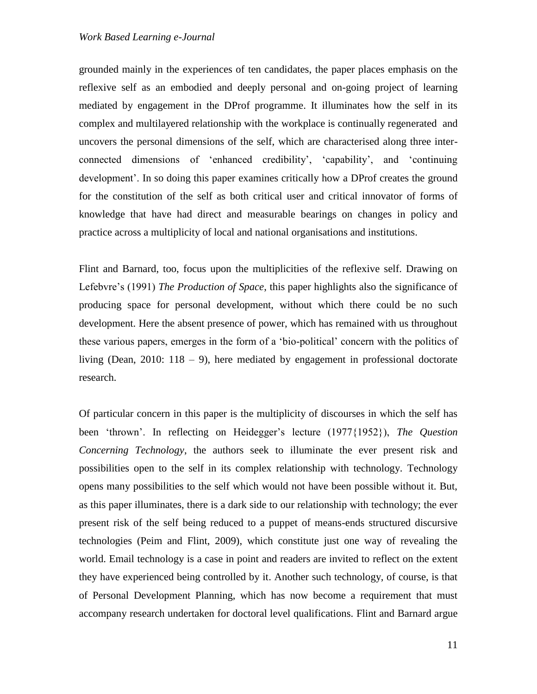grounded mainly in the experiences of ten candidates, the paper places emphasis on the reflexive self as an embodied and deeply personal and on-going project of learning mediated by engagement in the DProf programme. It illuminates how the self in its complex and multilayered relationship with the workplace is continually regenerated and uncovers the personal dimensions of the self, which are characterised along three interconnected dimensions of 'enhanced credibility', 'capability', and 'continuing development'. In so doing this paper examines critically how a DProf creates the ground for the constitution of the self as both critical user and critical innovator of forms of knowledge that have had direct and measurable bearings on changes in policy and practice across a multiplicity of local and national organisations and institutions.

Flint and Barnard, too, focus upon the multiplicities of the reflexive self. Drawing on Lefebvre's (1991) *The Production of Space*, this paper highlights also the significance of producing space for personal development, without which there could be no such development. Here the absent presence of power, which has remained with us throughout these various papers, emerges in the form of a 'bio-political' concern with the politics of living (Dean, 2010: 118 – 9), here mediated by engagement in professional doctorate research.

Of particular concern in this paper is the multiplicity of discourses in which the self has been 'thrown'. In reflecting on Heidegger's lecture (1977{1952}), *The Question Concerning Technology*, the authors seek to illuminate the ever present risk and possibilities open to the self in its complex relationship with technology. Technology opens many possibilities to the self which would not have been possible without it. But, as this paper illuminates, there is a dark side to our relationship with technology; the ever present risk of the self being reduced to a puppet of means-ends structured discursive technologies (Peim and Flint, 2009), which constitute just one way of revealing the world. Email technology is a case in point and readers are invited to reflect on the extent they have experienced being controlled by it. Another such technology, of course, is that of Personal Development Planning, which has now become a requirement that must accompany research undertaken for doctoral level qualifications. Flint and Barnard argue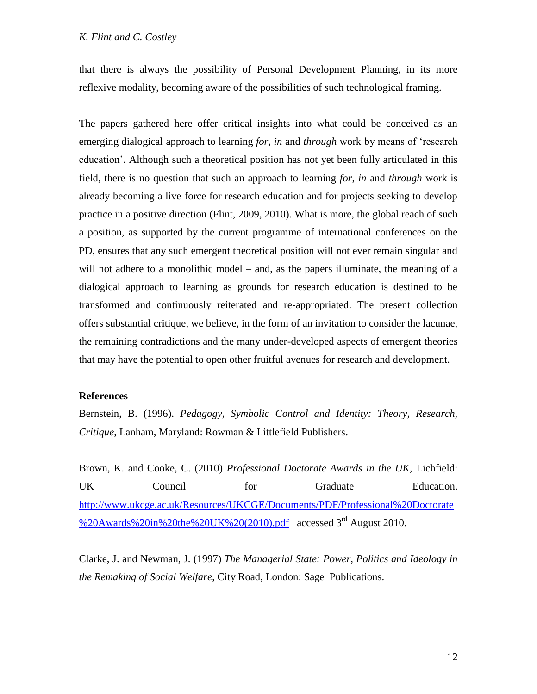# *K. Flint and C. Costley*

that there is always the possibility of Personal Development Planning, in its more reflexive modality, becoming aware of the possibilities of such technological framing.

The papers gathered here offer critical insights into what could be conceived as an emerging dialogical approach to learning *for*, *in* and *through* work by means of 'research education'. Although such a theoretical position has not yet been fully articulated in this field, there is no question that such an approach to learning *for*, *in* and *through* work is already becoming a live force for research education and for projects seeking to develop practice in a positive direction (Flint, 2009, 2010). What is more, the global reach of such a position, as supported by the current programme of international conferences on the PD, ensures that any such emergent theoretical position will not ever remain singular and will not adhere to a monolithic model – and, as the papers illuminate, the meaning of a dialogical approach to learning as grounds for research education is destined to be transformed and continuously reiterated and re-appropriated. The present collection offers substantial critique, we believe, in the form of an invitation to consider the lacunae, the remaining contradictions and the many under-developed aspects of emergent theories that may have the potential to open other fruitful avenues for research and development.

# **References**

Bernstein, B. (1996). *Pedagogy, Symbolic Control and Identity: Theory, Research, Critique*, Lanham, Maryland: Rowman & Littlefield Publishers.

Brown, K. and Cooke, C. (2010) *Professional Doctorate Awards in the UK,* Lichfield: UK Council for Graduate Education. [http://www.ukcge.ac.uk/Resources/UKCGE/Documents/PDF/Professional%20Doctorate](http://www.ukcge.ac.uk/Resources/UKCGE/Documents/PDF/Professional%20Doctorate%20Awards%20in%20the%20UK%20(2010).pdf) [%20Awards%20in%20the%20UK%20\(2010\).pdf](http://www.ukcge.ac.uk/Resources/UKCGE/Documents/PDF/Professional%20Doctorate%20Awards%20in%20the%20UK%20(2010).pdf) accessed 3rd August 2010.

Clarke, J. and Newman, J. (1997) *The Managerial State: Power, Politics and Ideology in the Remaking of Social Welfare*, City Road, London: Sage Publications.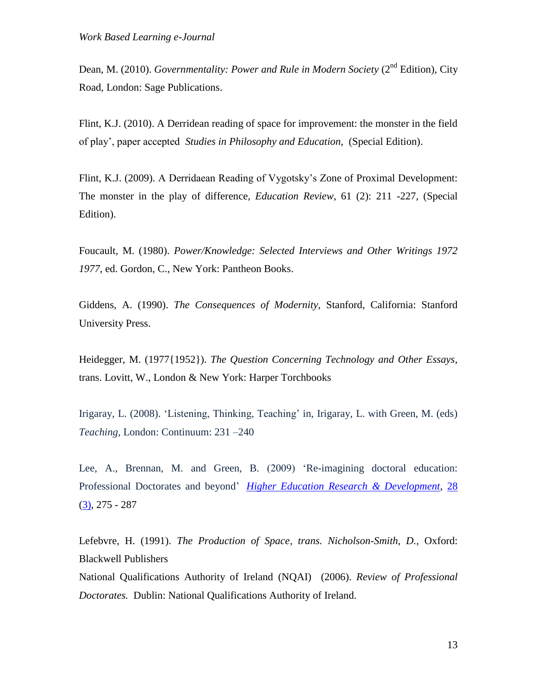Dean, M. (2010). *Governmentality: Power and Rule in Modern Society* (2<sup>nd</sup> Edition), City Road, London: Sage Publications.

Flint, K.J. (2010). A Derridean reading of space for improvement: the monster in the field of play', paper accepted *Studies in Philosophy and Education,* (Special Edition).

Flint, K.J. (2009). A Derridaean Reading of Vygotsky's Zone of Proximal Development: The monster in the play of difference, *Education Review*, 61 (2): 211 -227, (Special Edition).

Foucault, M. (1980). *Power/Knowledge: Selected Interviews and Other Writings 1972 1977*, ed. Gordon, C., New York: Pantheon Books.

Giddens, A. (1990). *The Consequences of Modernity*, Stanford, California: Stanford University Press.

Heidegger, M. (1977{1952}). *The Question Concerning Technology and Other Essays*, trans. Lovitt, W., London & New York: Harper Torchbooks

Irigaray, L. (2008). 'Listening, Thinking, Teaching' in, Irigaray, L. with Green, M. (eds) *Teaching*, London: Continuum: 231 –240

Lee, A., Brennan, M. and Green, B. (2009) 'Re-imagining doctoral education: Professional Doctorates and beyond' *[Higher Education Research & Development](http://www.informaworld.com/smpp/title~db=all~content=t713423834)*, [28](http://www.informaworld.com/smpp/title~db=all~content=t713423834~tab=issueslist~branches=28#v28)  $(3)$ , 275 - 287

Lefebvre, H. (1991). *The Production of Space, trans. Nicholson-Smith, D.,* Oxford: Blackwell Publishers

National Qualifications Authority of Ireland (NQAI) (2006). *Review of Professional Doctorates.* Dublin: National Qualifications Authority of Ireland.